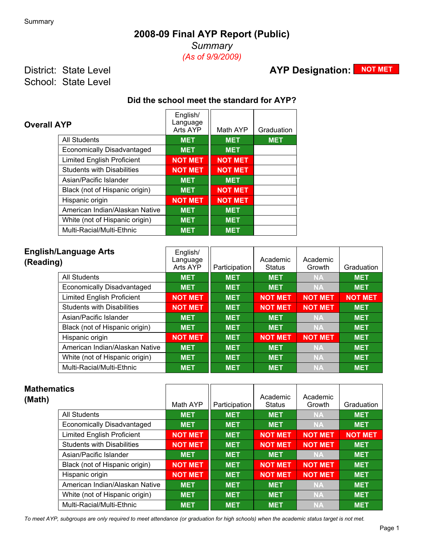## **2008-09 Final AYP Report (Public)**

*Summary (As of 9/9/2009)*

District: State Level School: State Level

# **AYP Designation: NOT MET**

### **Did the school meet the standard for AYP?**

| <b>Overall AYP</b>                | English/<br>Language<br>Arts AYP | Math AYP       | Graduation |
|-----------------------------------|----------------------------------|----------------|------------|
| <b>All Students</b>               | <b>MET</b>                       | <b>MET</b>     | <b>MET</b> |
| <b>Economically Disadvantaged</b> | <b>MET</b>                       | <b>MET</b>     |            |
| <b>Limited English Proficient</b> | <b>NOT MET</b>                   | <b>NOT MET</b> |            |
| <b>Students with Disabilities</b> | <b>NOT MET</b>                   | <b>NOT MET</b> |            |
| Asian/Pacific Islander            | <b>MET</b>                       | <b>MET</b>     |            |
| Black (not of Hispanic origin)    | <b>MET</b>                       | <b>NOT MET</b> |            |
| Hispanic origin                   | <b>NOT MET</b>                   | <b>NOT MET</b> |            |
| American Indian/Alaskan Native    | <b>MET</b>                       | <b>MET</b>     |            |
| White (not of Hispanic origin)    | <b>MET</b>                       | <b>MET</b>     |            |
| Multi-Racial/Multi-Ethnic         | <b>MET</b>                       | <b>MET</b>     |            |

| <b>English/Language Arts</b><br>(Reading) | English/<br>Language<br>Arts AYP | Participation | Academic<br><b>Status</b> | Academic<br>Growth | Graduation     |
|-------------------------------------------|----------------------------------|---------------|---------------------------|--------------------|----------------|
| All Students                              | <b>MET</b>                       | <b>MET</b>    | <b>MET</b>                | <b>NA</b>          | <b>MET</b>     |
| Economically Disadvantaged                | <b>MET</b>                       | <b>MET</b>    | <b>MET</b>                | <b>NA</b>          | <b>MET</b>     |
| <b>Limited English Proficient</b>         | <b>NOT MET</b>                   | <b>MET</b>    | <b>NOT MET</b>            | <b>NOT MET</b>     | <b>NOT MET</b> |
| <b>Students with Disabilities</b>         | <b>NOT MET</b>                   | <b>MET</b>    | <b>NOT MET</b>            | <b>NOT MET</b>     | <b>MET</b>     |
| Asian/Pacific Islander                    | <b>MET</b>                       | <b>MET</b>    | <b>MET</b>                | <b>NA</b>          | <b>MET</b>     |
| Black (not of Hispanic origin)            | <b>MET</b>                       | <b>MET</b>    | <b>MET</b>                | <b>NA</b>          | <b>MET</b>     |
| Hispanic origin                           | <b>NOT MET</b>                   | <b>MET</b>    | <b>NOT MET</b>            | <b>NOT MET</b>     | <b>MET</b>     |
| American Indian/Alaskan Native            | <b>MET</b>                       | <b>MET</b>    | <b>MET</b>                | <b>NA</b>          | <b>MET</b>     |
| White (not of Hispanic origin)            | <b>MET</b>                       | <b>MET</b>    | <b>MET</b>                | <b>NA</b>          | <b>MET</b>     |
| Multi-Racial/Multi-Ethnic                 | <b>MET</b>                       | <b>MET</b>    | <b>MET</b>                | <b>NA</b>          | <b>MET</b>     |

| <b>Mathematics</b><br>(Math)      | Math AYP       | Participation | Academic<br><b>Status</b> | Academic<br>Growth | Graduation     |
|-----------------------------------|----------------|---------------|---------------------------|--------------------|----------------|
| <b>All Students</b>               | <b>MET</b>     | <b>MET</b>    | <b>MET</b>                | <b>NA</b>          | <b>MET</b>     |
| Economically Disadvantaged        | <b>MET</b>     | <b>MET</b>    | <b>MET</b>                | <b>NA</b>          | <b>MET</b>     |
| <b>Limited English Proficient</b> | <b>NOT MET</b> | <b>MET</b>    | <b>NOT MET</b>            | <b>NOT MET</b>     | <b>NOT MET</b> |
| <b>Students with Disabilities</b> | <b>NOT MET</b> | <b>MET</b>    | <b>NOT MET</b>            | <b>NOT MET</b>     | <b>MET</b>     |
| Asian/Pacific Islander            | <b>MET</b>     | <b>MET</b>    | <b>MET</b>                | <b>NA</b>          | <b>MET</b>     |
| Black (not of Hispanic origin)    | <b>NOT MET</b> | <b>MET</b>    | <b>NOT MET</b>            | <b>NOT MET</b>     | <b>MET</b>     |
| Hispanic origin                   | <b>NOT MET</b> | <b>MET</b>    | <b>NOT MET</b>            | <b>NOT MET</b>     | <b>MET</b>     |
| American Indian/Alaskan Native    | <b>MET</b>     | <b>MET</b>    | <b>MET</b>                | <b>NA</b>          | <b>MET</b>     |
| White (not of Hispanic origin)    | <b>MET</b>     | <b>MET</b>    | <b>MET</b>                | <b>NA</b>          | <b>MET</b>     |
| Multi-Racial/Multi-Ethnic         | <b>MET</b>     | <b>MET</b>    | <b>MET</b>                | <b>NA</b>          | <b>MET</b>     |

*To meet AYP, subgroups are only required to meet attendance (or graduation for high schools) when the academic status target is not met.*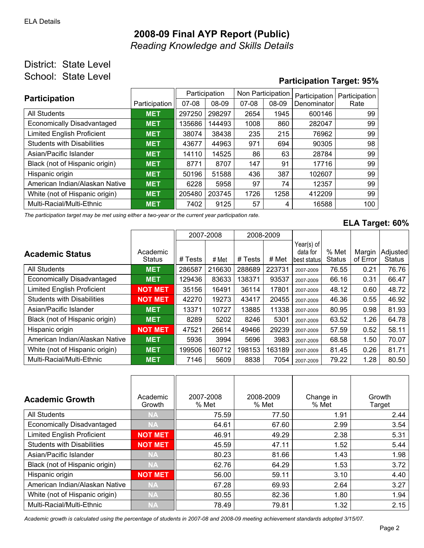## **2008-09 Final AYP Report (Public)** *Reading Knowledge and Skills Details*

### District: State Level School: State Level

# **Participation Target: 95%**

| <b>Participation</b>              |               | Participation |        | Non Participation |       | Participation | Participation |  |
|-----------------------------------|---------------|---------------|--------|-------------------|-------|---------------|---------------|--|
|                                   | Participation | $07-08$       | 08-09  | $07-08$           | 08-09 | Denominator   | Rate          |  |
| All Students                      | <b>MET</b>    | 297250        | 298297 | 2654              | 1945  | 600146        | 99            |  |
| Economically Disadvantaged        | <b>MET</b>    | 135686        | 144493 | 1008              | 860   | 282047        | 99            |  |
| <b>Limited English Proficient</b> | <b>MET</b>    | 38074         | 38438  | 235               | 215   | 76962         | 99            |  |
| <b>Students with Disabilities</b> | <b>MET</b>    | 43677         | 44963  | 971               | 694   | 90305         | 98            |  |
| Asian/Pacific Islander            | <b>MET</b>    | 14110         | 14525  | 86                | 63    | 28784         | 99            |  |
| Black (not of Hispanic origin)    | <b>MET</b>    | 8771          | 8707   | 147               | 91    | 17716         | 99            |  |
| Hispanic origin                   | <b>MET</b>    | 50196         | 51588  | 436               | 387   | 102607        | 99            |  |
| American Indian/Alaskan Native    | <b>MET</b>    | 6228          | 5958   | 97                | 74    | 12357         | 99            |  |
| White (not of Hispanic origin)    | <b>MET</b>    | 205480        | 203745 | 1726              | 1258  | 412209        | 99            |  |
| Multi-Racial/Multi-Ethnic         | <b>MET</b>    | 7402          | 9125   | 57                | 4     | 16588         | 100           |  |

*The participation target may be met using either a two-year or the current year participation rate.*

#### **ELA Target: 60%**

|                                   |                           |         | 2007-2008 | 2008-2009 |        |                                         |                        |                    |                           |
|-----------------------------------|---------------------------|---------|-----------|-----------|--------|-----------------------------------------|------------------------|--------------------|---------------------------|
| <b>Academic Status</b>            | Academic<br><b>Status</b> | # Tests | # Met     | # Tests   | # Met  | Year(s) of<br>data for<br>lbest statusl | % Met<br><b>Status</b> | Margin<br>of Error | Adjusted<br><b>Status</b> |
| <b>All Students</b>               | <b>MET</b>                | 286587  | 216630    | 288689    | 223731 | 2007-2009                               | 76.55                  | 0.21               | 76.76                     |
| <b>Economically Disadvantaged</b> | <b>MET</b>                | 129436  | 83633     | 138371    | 93537  | 2007-2009                               | 66.16                  | 0.31               | 66.47                     |
| <b>Limited English Proficient</b> | <b>NOT MET</b>            | 35156   | 16491     | 36114     | 17801  | 2007-2009                               | 48.12                  | 0.60               | 48.72                     |
| <b>Students with Disabilities</b> | <b>NOT MET</b>            | 42270   | 19273     | 43417     | 20455  | 2007-2009                               | 46.36                  | 0.55               | 46.92                     |
| Asian/Pacific Islander            | <b>MET</b>                | 13371   | 10727     | 13885     | 11338  | 2007-2009                               | 80.95                  | 0.98               | 81.93                     |
| Black (not of Hispanic origin)    | <b>MET</b>                | 8289    | 5202      | 8246      | 5301   | 2007-2009                               | 63.52                  | 1.26               | 64.78                     |
| Hispanic origin                   | <b>NOT MET</b>            | 47521   | 26614     | 49466     | 29239  | 2007-2009                               | 57.59                  | 0.52               | 58.11                     |
| American Indian/Alaskan Native    | <b>MET</b>                | 5936    | 3994      | 5696      | 3983   | 2007-2009                               | 68.58                  | 1.50               | 70.07                     |
| White (not of Hispanic origin)    | <b>MET</b>                | 199506  | 160712    | 198153    | 163189 | 2007-2009                               | 81.45                  | 0.26               | 81.71                     |
| Multi-Racial/Multi-Ethnic         | <b>MET</b>                | 7146    | 5609      | 8838      | 7054   | 2007-2009                               | 79.22                  | 1.28               | 80.50                     |

| <b>Academic Growth</b>            | Academic<br>Growth | 2007-2008<br>% Met | 2008-2009<br>% Met | Change in<br>% Met | Growth<br>Target |
|-----------------------------------|--------------------|--------------------|--------------------|--------------------|------------------|
| <b>All Students</b>               | <b>NA</b>          | 75.59              | 77.50              | 1.91               | 2.44             |
| <b>Economically Disadvantaged</b> | <b>NA</b>          | 64.61              | 67.60              | 2.99               | 3.54             |
| <b>Limited English Proficient</b> | <b>NOT MET</b>     | 46.91              | 49.29              | 2.38               | 5.31             |
| <b>Students with Disabilities</b> | <b>NOT MET</b>     | 45.59              | 47.11              | 1.52               | 5.44             |
| Asian/Pacific Islander            | <b>NA</b>          | 80.23              | 81.66              | 1.43               | 1.98             |
| Black (not of Hispanic origin)    | <b>NA</b>          | 62.76              | 64.29              | 1.53               | 3.72             |
| Hispanic origin                   | <b>NOT MET</b>     | 56.00              | 59.11              | 3.10               | 4.40             |
| American Indian/Alaskan Native    | <b>NA</b>          | 67.28              | 69.93              | 2.64               | 3.27             |
| White (not of Hispanic origin)    | <b>NA</b>          | 80.55              | 82.36              | 1.80               | 1.94             |
| Multi-Racial/Multi-Ethnic         | <b>NA</b>          | 78.49              | 79.81              | 1.32               | 2.15             |

*Academic growth is calculated using the percentage of students in 2007-08 and 2008-09 meeting achievement standards adopted 3/15/07.*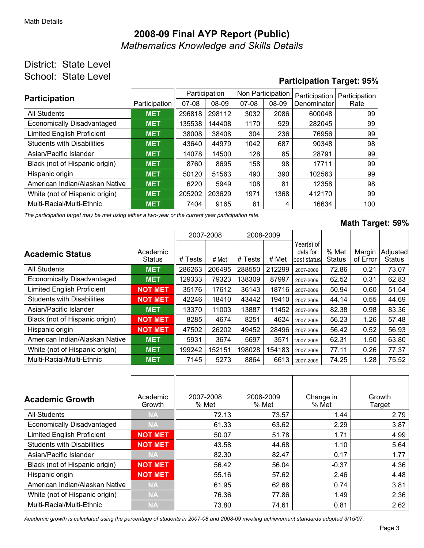## **2008-09 Final AYP Report (Public)** *Mathematics Knowledge and Skills Details*

### District: State Level School: State Level

### **Participation Target: 95%**

| <b>Participation</b>              |               | Participation |        | Non Participation |       | Participation | Participation |  |
|-----------------------------------|---------------|---------------|--------|-------------------|-------|---------------|---------------|--|
|                                   | Participation | $07-08$       | 08-09  | $07-08$           | 08-09 | Denominator   | Rate          |  |
| All Students                      | <b>MET</b>    | 296818        | 298112 | 3032              | 2086  | 600048        | 99            |  |
| Economically Disadvantaged        | <b>MET</b>    | 135538        | 144408 | 1170              | 929   | 282045        | 99            |  |
| <b>Limited English Proficient</b> | <b>MET</b>    | 38008         | 38408  | 304               | 236   | 76956         | 99            |  |
| <b>Students with Disabilities</b> | <b>MET</b>    | 43640         | 44979  | 1042              | 687   | 90348         | 98            |  |
| Asian/Pacific Islander            | <b>MET</b>    | 14078         | 14500  | 128               | 85    | 28791         | 99            |  |
| Black (not of Hispanic origin)    | <b>MET</b>    | 8760          | 8695   | 158               | 98    | 17711         | 99            |  |
| Hispanic origin                   | <b>MET</b>    | 50120         | 51563  | 490               | 390   | 102563        | 99            |  |
| American Indian/Alaskan Native    | <b>MET</b>    | 6220          | 5949   | 108               | 81    | 12358         | 98            |  |
| White (not of Hispanic origin)    | <b>MET</b>    | 205202        | 203629 | 1971              | 1368  | 412170        | 99            |  |
| Multi-Racial/Multi-Ethnic         | <b>MET</b>    | 7404          | 9165   | 61                | 4     | 16634         | 100           |  |

*The participation target may be met using either a two-year or the current year participation rate.*

#### **Math Target: 59%**

|                                   |                           |         | 2007-2008 | 2008-2009 |        |                                         |                        |                    |                           |
|-----------------------------------|---------------------------|---------|-----------|-----------|--------|-----------------------------------------|------------------------|--------------------|---------------------------|
| <b>Academic Status</b>            | Academic<br><b>Status</b> | # Tests | # Met     | # Tests   | # Met  | Year(s) of<br>data for<br>lbest statusl | % Met<br><b>Status</b> | Margin<br>of Error | Adjusted<br><b>Status</b> |
| <b>All Students</b>               | <b>MET</b>                | 286263  | 206495    | 288550    | 212299 | 2007-2009                               | 72.86                  | 0.21               | 73.07                     |
| <b>Economically Disadvantaged</b> | <b>MET</b>                | 129333  | 79323     | 138309    | 87997  | 2007-2009                               | 62.52                  | 0.31               | 62.83                     |
| <b>Limited English Proficient</b> | <b>NOT MET</b>            | 35176   | 17612     | 36143     | 18716  | 2007-2009                               | 50.94                  | 0.60               | 51.54                     |
| <b>Students with Disabilities</b> | <b>NOT MET</b>            | 42246   | 18410     | 43442     | 19410  | 2007-2009                               | 44.14                  | 0.55               | 44.69                     |
| Asian/Pacific Islander            | <b>MET</b>                | 13370   | 11003     | 13887     | 11452  | 2007-2009                               | 82.38                  | 0.98               | 83.36                     |
| Black (not of Hispanic origin)    | <b>NOT MET</b>            | 8285    | 4674      | 8251      | 4624   | 2007-2009                               | 56.23                  | 1.26               | 57.48                     |
| Hispanic origin                   | <b>NOT MET</b>            | 47502   | 26202     | 49452     | 28496  | 2007-2009                               | 56.42                  | 0.52               | 56.93                     |
| American Indian/Alaskan Native    | <b>MET</b>                | 5931    | 3674      | 5697      | 3571   | 2007-2009                               | 62.31                  | 1.50               | 63.80                     |
| White (not of Hispanic origin)    | <b>MET</b>                | 199242  | 152151    | 198028    | 154183 | 2007-2009                               | 77.11                  | 0.26               | 77.37                     |
| Multi-Racial/Multi-Ethnic         | <b>MET</b>                | 7145    | 5273      | 8864      | 6613   | 2007-2009                               | 74.25                  | 1.28               | 75.52                     |

| <b>Academic Growth</b>            | Academic<br>Growth | 2007-2008<br>% Met | 2008-2009<br>% Met | Change in<br>% Met | Growth<br>Target |
|-----------------------------------|--------------------|--------------------|--------------------|--------------------|------------------|
| All Students                      | <b>NA</b>          | 72.13              | 73.57              | 1.44               | 2.79             |
| <b>Economically Disadvantaged</b> | <b>NA</b>          | 61.33              | 63.62              | 2.29               | 3.87             |
| <b>Limited English Proficient</b> | <b>NOT MET</b>     | 50.07              | 51.78              | 1.71               | 4.99             |
| <b>Students with Disabilities</b> | <b>NOT MET</b>     | 43.58              | 44.68              | 1.10               | 5.64             |
| Asian/Pacific Islander            | <b>NA</b>          | 82.30              | 82.47              | 0.17               | 1.77             |
| Black (not of Hispanic origin)    | <b>NOT MET</b>     | 56.42              | 56.04              | $-0.37$            | 4.36             |
| Hispanic origin                   | <b>NOT MET</b>     | 55.16              | 57.62              | 2.46               | 4.48             |
| American Indian/Alaskan Native    | <b>NA</b>          | 61.95              | 62.68              | 0.74               | 3.81             |
| White (not of Hispanic origin)    | <b>NA</b>          | 76.36              | 77.86              | 1.49               | 2.36             |
| Multi-Racial/Multi-Ethnic         | <b>NA</b>          | 73.80              | 74.61              | 0.81               | 2.62             |

*Academic growth is calculated using the percentage of students in 2007-08 and 2008-09 meeting achievement standards adopted 3/15/07.*